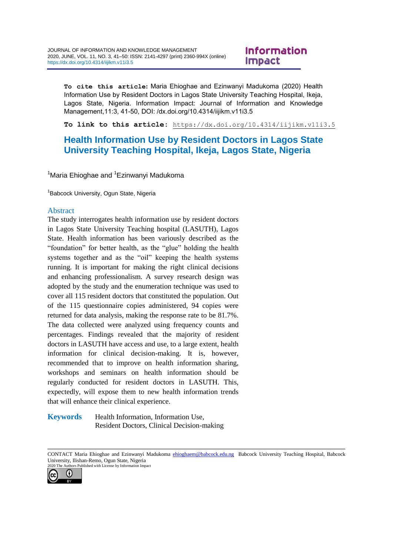# Information **Impact**

**To cite this article:** Maria Ehioghae and Ezinwanyi Madukoma (2020) Health Information Use by Resident Doctors in Lagos State University Teaching Hospital, Ikeja, Lagos State, Nigeria. Information Impact: Journal of Information and Knowledge Management,11:3, 41-50, DOI: /dx.doi.org/10.4314/iijikm.v11i3.5

**To link to this article:** <https://dx.doi.org/10.4314/iijikm.v11i3.5>

# **Health Information Use by Resident Doctors in Lagos State University Teaching Hospital, Ikeja, Lagos State, Nigeria**

<sup>1</sup>Maria Ehioghae and <sup>1</sup>Ezinwanyi Madukoma

<sup>1</sup> Babcock University, Ogun State, Nigeria

#### Abstract

The study interrogates health information use by resident doctors in Lagos State University Teaching hospital (LASUTH), Lagos State. Health information has been variously described as the "foundation" for better health, as the "glue" holding the health systems together and as the "oil" keeping the health systems running. It is important for making the right clinical decisions and enhancing professionalism. A survey research design was adopted by the study and the enumeration technique was used to cover all 115 resident doctors that constituted the population. Out of the 115 questionnaire copies administered, 94 copies were returned for data analysis, making the response rate to be 81.7%. The data collected were analyzed using frequency counts and percentages. Findings revealed that the majority of resident doctors in LASUTH have access and use, to a large extent, health information for clinical decision-making. It is, however, recommended that to improve on health information sharing, workshops and seminars on health information should be regularly conducted for resident doctors in LASUTH. This, expectedly, will expose them to new health information trends that will enhance their clinical experience.

**Keywords** Health Information, Information Use, Resident Doctors, Clinical Decision-making

CONTACT Maria Ehioghae and Ezinwanyi Madukoma [ehioghaem@babcock.edu.ng](mailto:ehioghaem@babcock.edu.ng) Babcock University Teaching Hospital, Babcock University, Ilishan-Remo, Ogun State, Nigeria 2020 The Authors Published with License by Information Impact

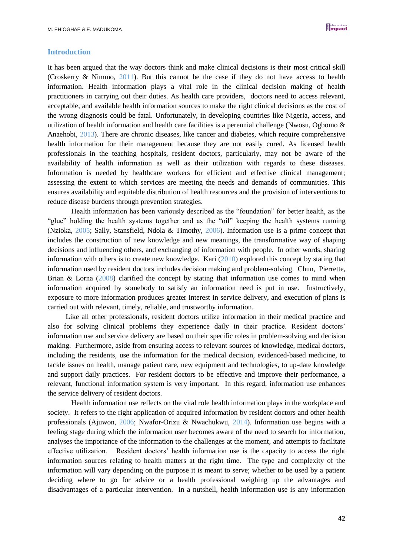#### **Introduction**

It has been argued that the way doctors think and make clinical decisions is their most critical skill (Croskerry & Nimmo, 2011). But this cannot be the case if they do not have access to health information. Health information plays a vital role in the clinical decision making of health practitioners in carrying out their duties. As health care providers, doctors need to access relevant, acceptable, and available health information sources to make the right clinical decisions as the cost of the wrong diagnosis could be fatal. Unfortunately, in developing countries like Nigeria, access, and utilization of health information and health care facilities is a perennial challenge (Nwosu, Ogbomo & Anaehobi, 2013). There are chronic diseases, like cancer and diabetes, which require comprehensive health information for their management because they are not easily cured. As licensed health professionals in the teaching hospitals, resident doctors, particularly, may not be aware of the availability of health information as well as their utilization with regards to these diseases. Information is needed by healthcare workers for efficient and effective clinical management; assessing the extent to which services are meeting the needs and demands of communities. This ensures availability and equitable distribution of health resources and the provision of interventions to reduce disease burdens through prevention strategies.

Health information has been variously described as the "foundation" for better health, as the "glue" holding the health systems together and as the "oil" keeping the health systems running (Nzioka, 2005; Sally, Stansfield, Ndola & Timothy, 2006). Information use is a prime concept that includes the construction of new knowledge and new meanings, the transformative way of shaping decisions and influencing others, and exchanging of information with people. In other words, sharing information with others is to create new knowledge. Kari (2010) explored this concept by stating that information used by resident doctors includes decision making and problem-solving. Chun, Pierrette, Brian & Lorna (2008) clarified the concept by stating that information use comes to mind when information acquired by somebody to satisfy an information need is put in use. Instructively, exposure to more information produces greater interest in service delivery, and execution of plans is carried out with relevant, timely, reliable, and trustworthy information.

Like all other professionals, resident doctors utilize information in their medical practice and also for solving clinical problems they experience daily in their practice. Resident doctors' information use and service delivery are based on their specific roles in problem-solving and decision making. Furthermore, aside from ensuring access to relevant sources of knowledge, medical doctors, including the residents, use the information for the medical decision, evidenced-based medicine, to tackle issues on health, manage patient care, new equipment and technologies, to up-date knowledge and support daily practices. For resident doctors to be effective and improve their performance, a relevant, functional information system is very important. In this regard, information use enhances the service delivery of resident doctors.

Health information use reflects on the vital role health information plays in the workplace and society. It refers to the right application of acquired information by resident doctors and other health professionals (Ajuwon, 2006; Nwafor-Orizu & Nwachukwu, 2014). Information use begins with a feeling stage during which the information user becomes aware of the need to search for information, analyses the importance of the information to the challenges at the moment, and attempts to facilitate effective utilization. Resident doctors' health information use is the capacity to access the right information sources relating to health matters at the right time. The type and complexity of the information will vary depending on the purpose it is meant to serve; whether to be used by a patient deciding where to go for advice or a health professional weighing up the advantages and disadvantages of a particular intervention. In a nutshell, health information use is any information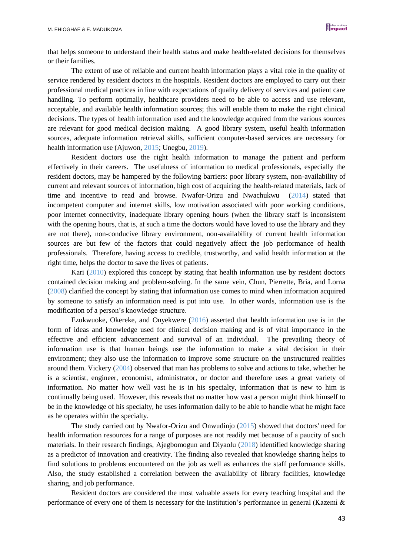that helps someone to understand their health status and make health-related decisions for themselves or their families.

The extent of use of reliable and current health information plays a vital role in the quality of service rendered by resident doctors in the hospitals. Resident doctors are employed to carry out their professional medical practices in line with expectations of quality delivery of services and patient care handling. To perform optimally, healthcare providers need to be able to access and use relevant, acceptable, and available health information sources; this will enable them to make the right clinical decisions. The types of health information used and the knowledge acquired from the various sources are relevant for good medical decision making. A good library system, useful health information sources, adequate information retrieval skills, sufficient computer-based services are necessary for health information use (Ajuwon, 2015; Unegbu, 2019).

Resident doctors use the right health information to manage the patient and perform effectively in their careers. The usefulness of information to medical professionals, especially the resident doctors, may be hampered by the following barriers: poor library system, non-availability of current and relevant sources of information, high cost of acquiring the health-related materials, lack of time and incentive to read and browse. Nwafor-Orizu and Nwachukwu (2014) stated that incompetent computer and internet skills, low motivation associated with poor working conditions, poor internet connectivity, inadequate library opening hours (when the library staff is inconsistent with the opening hours, that is, at such a time the doctors would have loved to use the library and they are not there), non-conducive library environment, non-availability of current health information sources are but few of the factors that could negatively affect the job performance of health professionals. Therefore, having access to credible, trustworthy, and valid health information at the right time, helps the doctor to save the lives of patients.

Kari (2010) explored this concept by stating that health information use by resident doctors contained decision making and problem-solving. In the same vein, Chun, Pierrette, Bria, and Lorna (2008) clarified the concept by stating that information use comes to mind when information acquired by someone to satisfy an information need is put into use. In other words, information use is the modification of a person's knowledge structure.

Ezukwuoke, Okereke, and Onyekwere (2016) asserted that health information use is in the form of ideas and knowledge used for clinical decision making and is of vital importance in the effective and efficient advancement and survival of an individual. The prevailing theory of information use is that human beings use the information to make a vital decision in their environment; they also use the information to improve some structure on the unstructured realities around them. Vickery (2004) observed that man has problems to solve and actions to take, whether he is a scientist, engineer, economist, administrator, or doctor and therefore uses a great variety of information. No matter how well vast he is in his specialty, information that is new to him is continually being used. However, this reveals that no matter how vast a person might think himself to be in the knowledge of his specialty, he uses information daily to be able to handle what he might face as he operates within the specialty.

The study carried out by Nwafor-Orizu and Onwudinjo (2015) showed that doctors' need for health information resources for a range of purposes are not readily met because of a paucity of such materials. In their research findings, Ajegbomogun and Diyaolu (2018) identified knowledge sharing as a predictor of innovation and creativity. The finding also revealed that knowledge sharing helps to find solutions to problems encountered on the job as well as enhances the staff performance skills. Also, the study established a correlation between the availability of library facilities, knowledge sharing, and job performance.

Resident doctors are considered the most valuable assets for every teaching hospital and the performance of every one of them is necessary for the institution's performance in general (Kazemi &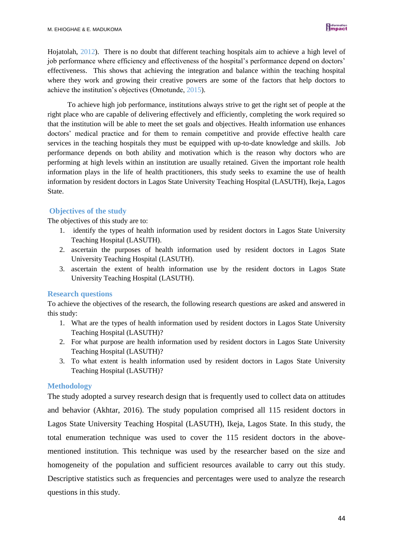Hojatolah, 2012). There is no doubt that different teaching hospitals aim to achieve a high level of job performance where efficiency and effectiveness of the hospital's performance depend on doctors' effectiveness. This shows that achieving the integration and balance within the teaching hospital where they work and growing their creative powers are some of the factors that help doctors to achieve the institution's objectives (Omotunde, 2015).

 To achieve high job performance, institutions always strive to get the right set of people at the right place who are capable of delivering effectively and efficiently, completing the work required so that the institution will be able to meet the set goals and objectives. Health information use enhances doctors' medical practice and for them to remain competitive and provide effective health care services in the teaching hospitals they must be equipped with up-to-date knowledge and skills. Job performance depends on both ability and motivation which is the reason why doctors who are performing at high levels within an institution are usually retained. Given the important role health information plays in the life of health practitioners, this study seeks to examine the use of health information by resident doctors in Lagos State University Teaching Hospital (LASUTH), Ikeja, Lagos State.

### **Objectives of the study**

The objectives of this study are to:

- 1. identify the types of health information used by resident doctors in Lagos State University Teaching Hospital (LASUTH).
- 2. ascertain the purposes of health information used by resident doctors in Lagos State University Teaching Hospital (LASUTH).
- 3. ascertain the extent of health information use by the resident doctors in Lagos State University Teaching Hospital (LASUTH).

### **Research questions**

To achieve the objectives of the research, the following research questions are asked and answered in this study:

- 1. What are the types of health information used by resident doctors in Lagos State University Teaching Hospital (LASUTH)?
- 2. For what purpose are health information used by resident doctors in Lagos State University Teaching Hospital (LASUTH)?
- 3. To what extent is health information used by resident doctors in Lagos State University Teaching Hospital (LASUTH)?

### **Methodology**

The study adopted a survey research design that is frequently used to collect data on attitudes and behavior (Akhtar, 2016). The study population comprised all 115 resident doctors in Lagos State University Teaching Hospital (LASUTH), Ikeja, Lagos State. In this study, the total enumeration technique was used to cover the 115 resident doctors in the abovementioned institution. This technique was used by the researcher based on the size and homogeneity of the population and sufficient resources available to carry out this study. Descriptive statistics such as frequencies and percentages were used to analyze the research questions in this study.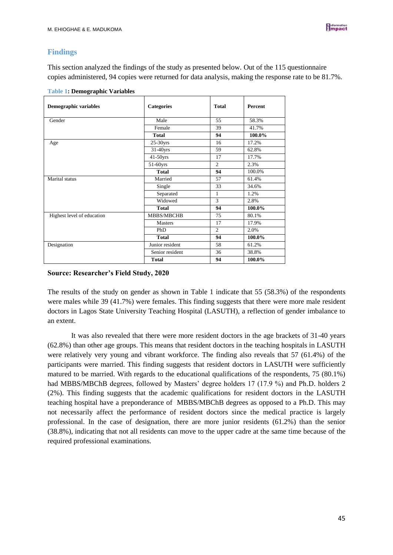## **Findings**

This section analyzed the findings of the study as presented below. Out of the 115 questionnaire copies administered, 94 copies were returned for data analysis, making the response rate to be 81.7%.

| <b>Demographic variables</b> | <b>Categories</b> | <b>Total</b>   | <b>Percent</b> |
|------------------------------|-------------------|----------------|----------------|
| Gender                       | Male              | 55             | 58.3%          |
|                              | Female            | 39             | 41.7%          |
|                              | <b>Total</b>      | 94             | 100.0%         |
| Age                          | $25-30$ yrs       | 16             | 17.2%          |
|                              | $31-40$ yrs       | 59             | 62.8%          |
|                              | $41-50$ yrs       | 17             | 17.7%          |
|                              | $51-60$ yrs       | $\mathfrak{2}$ | 2.3%           |
|                              | <b>Total</b>      | 94             | 100.0%         |
| Marital status               | Married           | 57             | 61.4%          |
|                              | Single            | 33             | 34.6%          |
|                              | Separated         | 1              | 1.2%           |
|                              | Widowed           | 3              | 2.8%           |
|                              | <b>Total</b>      | 94             | 100.0%         |
| Highest level of education   | MBBS/MBCHB        | 75             | 80.1%          |
|                              | <b>Masters</b>    | 17             | 17.9%          |
|                              | <b>PhD</b>        | $\overline{2}$ | 2.0%           |
|                              | <b>Total</b>      | 94             | 100.0%         |
| Designation                  | Junior resident   | 58             | 61.2%          |
|                              | Senior resident   | 36             | 38.8%          |
|                              | <b>Total</b>      | 94             | 100.0%         |

| <b>Table 1: Demographic Variables</b> |  |
|---------------------------------------|--|
|---------------------------------------|--|

### **Source: Researcher's Field Study, 2020**

The results of the study on gender as shown in Table 1 indicate that 55 (58.3%) of the respondents were males while 39 (41.7%) were females. This finding suggests that there were more male resident doctors in Lagos State University Teaching Hospital (LASUTH), a reflection of gender imbalance to an extent.

It was also revealed that there were more resident doctors in the age brackets of 31-40 years (62.8%) than other age groups. This means that resident doctors in the teaching hospitals in LASUTH were relatively very young and vibrant workforce. The finding also reveals that 57 (61.4%) of the participants were married. This finding suggests that resident doctors in LASUTH were sufficiently matured to be married. With regards to the educational qualifications of the respondents, 75 (80.1%) had MBBS/MBChB degrees, followed by Masters' degree holders 17 (17.9 %) and Ph.D. holders 2 (2%). This finding suggests that the academic qualifications for resident doctors in the LASUTH teaching hospital have a preponderance of MBBS/MBChB degrees as opposed to a Ph.D. This may not necessarily affect the performance of resident doctors since the medical practice is largely professional. In the case of designation, there are more junior residents (61.2%) than the senior (38.8%), indicating that not all residents can move to the upper cadre at the same time because of the required professional examinations.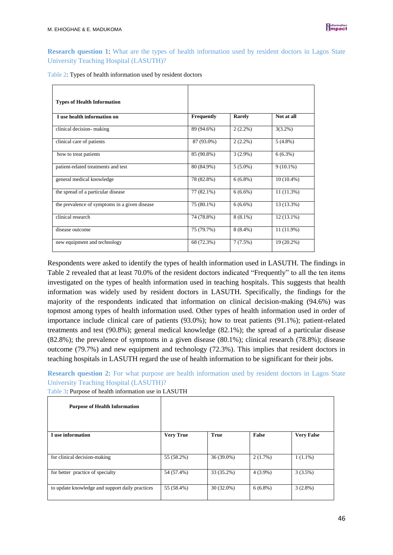**Research question 1**: What are the types of health information used by resident doctors in Lagos State University Teaching Hospital (LASUTH)?

| Table 2: Types of health information used by resident doctors |  |  |
|---------------------------------------------------------------|--|--|
|---------------------------------------------------------------|--|--|

| <b>Types of Health Information</b>            |            |            |              |
|-----------------------------------------------|------------|------------|--------------|
| I use health information on                   | Frequently | Rarely     | Not at all   |
| clinical decision-making                      | 89 (94.6%) | $2(2.2\%)$ | $3(3.2\%)$   |
| clinical care of patients                     | 87 (93.0%) | $2(2.2\%)$ | $5(4.8\%)$   |
| how to treat patients                         | 85 (90.8%) | $3(2.9\%)$ | $6(6.3\%)$   |
| patient-related treatments and test           | 80 (84.9%) | $5(5.0\%)$ | $9(10.1\%)$  |
| general medical knowledge                     | 78 (82.8%) | $6(6.8\%)$ | $10(10.4\%)$ |
| the spread of a particular disease            | 77 (82.1%) | $6(6.6\%)$ | 11(11.3%)    |
| the prevalence of symptoms in a given disease | 75 (80.1%) | $6(6.6\%)$ | 13 (13.3%)   |
| clinical research                             | 74 (78.8%) | $8(8.1\%)$ | $12(13.1\%)$ |
| disease outcome                               | 75 (79.7%) | $8(8.4\%)$ | $11(11.9\%)$ |
| new equipment and technology                  | 68 (72.3%) | 7(7.5%)    | 19 (20.2%)   |

Respondents were asked to identify the types of health information used in LASUTH. The findings in Table 2 revealed that at least 70.0% of the resident doctors indicated "Frequently" to all the ten items investigated on the types of health information used in teaching hospitals. This suggests that health information was widely used by resident doctors in LASUTH. Specifically, the findings for the majority of the respondents indicated that information on clinical decision-making (94.6%) was topmost among types of health information used. Other types of health information used in order of importance include clinical care of patients (93.0%); how to treat patients (91.1%); patient-related treatments and test (90.8%); general medical knowledge (82.1%); the spread of a particular disease (82.8%); the prevalence of symptoms in a given disease (80.1%); clinical research (78.8%); disease outcome (79.7%) and new equipment and technology (72.3%). This implies that resident doctors in teaching hospitals in LASUTH regard the use of health information to be significant for their jobs.

**Research question 2:** For what purpose are health information used by resident doctors in Lagos State University Teaching Hospital (LASUTH)?

| Table 3: Purpose of health information use in LASUTH |  |  |  |  |  |  |  |  |  |  |  |  |  |  |  |  |  |  |  |  |
|------------------------------------------------------|--|--|--|--|--|--|--|--|--|--|--|--|--|--|--|--|--|--|--|--|
|------------------------------------------------------|--|--|--|--|--|--|--|--|--|--|--|--|--|--|--|--|--|--|--|--|

| <b>Purpose of Health Information</b>            |                  |              |            |                   |
|-------------------------------------------------|------------------|--------------|------------|-------------------|
| I use information                               | <b>Very True</b> | <b>True</b>  | False      | <b>Very False</b> |
|                                                 |                  |              |            |                   |
| for clinical decision-making                    | 55 (58.2%)       | 36 (39.0%)   | 2(1.7%)    | $1(1.1\%)$        |
| for better practice of specialty                | 54 (57.4%)       | 33 (35.2%)   | $4(3.9\%)$ | 3(3.5%)           |
| to update knowledge and support daily practices | 55 (58.4%)       | $30(32.0\%)$ | $6(6.8\%)$ | $3(2.8\%)$        |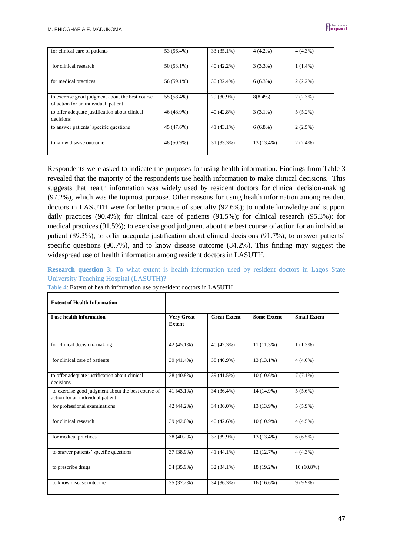| for clinical care of patients                                                          | 53 (56.4%)   | 33 (35.1%)   | $4(4.2\%)$ | $4(4.3\%)$ |
|----------------------------------------------------------------------------------------|--------------|--------------|------------|------------|
| for clinical research                                                                  | $50(53.1\%)$ | 40 (42.2%)   | $3(3.3\%)$ | $1(1.4\%)$ |
| for medical practices                                                                  | 56 (59.1%)   | 30 (32.4%)   | $6(6.3\%)$ | $2(2.2\%)$ |
| to exercise good judgment about the best course<br>of action for an individual patient | 55 (58.4%)   | 29 (30.9%)   | $8(8.4\%)$ | $2(2.3\%)$ |
| to offer adequate justification about clinical<br>decisions                            | 46 (48.9%)   | 40 (42.8%)   | $3(3.1\%)$ | $5(5.2\%)$ |
| to answer patients' specific questions                                                 | 45 (47.6%)   | $41(43.1\%)$ | $6(6.8\%)$ | $2(2.5\%)$ |
| to know disease outcome                                                                | 48 (50.9%)   | 31 (33.3%)   | 13 (13.4%) | $2(2.4\%)$ |

Respondents were asked to indicate the purposes for using health information. Findings from Table 3 revealed that the majority of the respondents use health information to make clinical decisions. This suggests that health information was widely used by resident doctors for clinical decision-making (97.2%), which was the topmost purpose. Other reasons for using health information among resident doctors in LASUTH were for better practice of specialty (92.6%); to update knowledge and support daily practices (90.4%); for clinical care of patients (91.5%); for clinical research (95.3%); for medical practices (91.5%); to exercise good judgment about the best course of action for an individual patient (89.3%); to offer adequate justification about clinical decisions (91.7%); to answer patients' specific questions (90.7%), and to know disease outcome (84.2%). This finding may suggest the widespread use of health information among resident doctors in LASUTH.

**Research question 3:** To what extent is health information used by resident doctors in Lagos State University Teaching Hospital (LASUTH)?

| <b>Extent of Health Information</b>                                                    |                                    |                     |                    |                     |
|----------------------------------------------------------------------------------------|------------------------------------|---------------------|--------------------|---------------------|
| I use health information                                                               | <b>Very Great</b><br><b>Extent</b> | <b>Great Extent</b> | <b>Some Extent</b> | <b>Small Extent</b> |
| for clinical decision-making                                                           | 42 (45.1%)                         | 40 (42.3%)          | $11(11.3\%)$       | $1(1.3\%)$          |
| for clinical care of patients                                                          | 39 (41.4%)                         | 38 (40.9%)          | $13(13.1\%)$       | $4(4.6\%)$          |
| to offer adequate justification about clinical<br>decisions                            | 38 (40.8%)                         | 39 (41.5%)          | $10(10.6\%)$       | $7(7.1\%)$          |
| to exercise good judgment about the best course of<br>action for an individual patient | 41 (43.1%)                         | 34 (36.4%)          | 14 (14.9%)         | $5(5.6\%)$          |
| for professional examinations                                                          | 42 (44.2%)                         | 34 (36.0%)          | 13 (13.9%)         | $5(5.9\%)$          |
| for clinical research                                                                  | 39 (42.0%)                         | $40(42.6\%)$        | $10(10.9\%)$       | $4(4.5\%)$          |
| for medical practices                                                                  | 38 (40.2%)                         | 37 (39.9%)          | 13 (13.4%)         | $6(6.5\%)$          |
| to answer patients' specific questions                                                 | 37 (38.9%)                         | 41 (44.1%)          | 12 (12.7%)         | $4(4.3\%)$          |
| to prescribe drugs                                                                     | 34 (35.9%)                         | $32(34.1\%)$        | 18 (19.2%)         | $10(10.8\%)$        |
| to know disease outcome                                                                | 35 (37.2%)                         | 34 (36.3%)          | $16(16.6\%)$       | $9(9.9\%)$          |

Table 4: Extent of health information use by resident doctors in LASUTH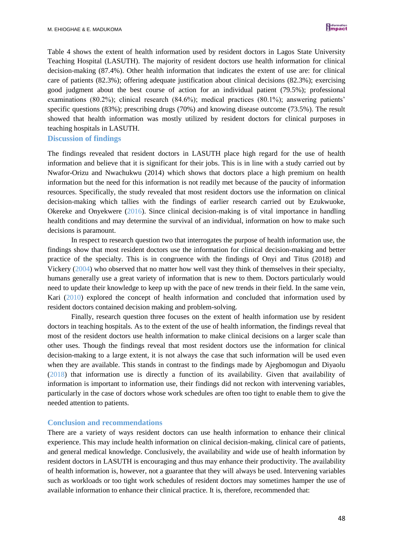Table 4 shows the extent of health information used by resident doctors in Lagos State University Teaching Hospital (LASUTH). The majority of resident doctors use health information for clinical decision-making (87.4%). Other health information that indicates the extent of use are: for clinical care of patients (82.3%); offering adequate justification about clinical decisions (82.3%); exercising good judgment about the best course of action for an individual patient (79.5%); professional examinations (80.2%); clinical research (84.6%); medical practices (80.1%); answering patients' specific questions (83%); prescribing drugs (70%) and knowing disease outcome (73.5%). The result showed that health information was mostly utilized by resident doctors for clinical purposes in teaching hospitals in LASUTH.

#### **Discussion of findings**

The findings revealed that resident doctors in LASUTH place high regard for the use of health information and believe that it is significant for their jobs. This is in line with a study carried out by Nwafor-Orizu and Nwachukwu (2014) which shows that doctors place a high premium on health information but the need for this information is not readily met because of the paucity of information resources. Specifically, the study revealed that most resident doctors use the information on clinical decision-making which tallies with the findings of earlier research carried out by Ezukwuoke, Okereke and Onyekwere (2016). Since clinical decision-making is of vital importance in handling health conditions and may determine the survival of an individual, information on how to make such decisions is paramount.

In respect to research question two that interrogates the purpose of health information use, the findings show that most resident doctors use the information for clinical decision-making and better practice of the specialty. This is in congruence with the findings of Onyi and Titus (2018) and Vickery (2004) who observed that no matter how well vast they think of themselves in their specialty, humans generally use a great variety of information that is new to them. Doctors particularly would need to update their knowledge to keep up with the pace of new trends in their field. In the same vein, Kari (2010) explored the concept of health information and concluded that information used by resident doctors contained decision making and problem-solving.

Finally, research question three focuses on the extent of health information use by resident doctors in teaching hospitals. As to the extent of the use of health information, the findings reveal that most of the resident doctors use health information to make clinical decisions on a larger scale than other uses. Though the findings reveal that most resident doctors use the information for clinical decision-making to a large extent, it is not always the case that such information will be used even when they are available. This stands in contrast to the findings made by Ajegbomogun and Diyaolu (2018) that information use is directly a function of its availability. Given that availability of information is important to information use, their findings did not reckon with intervening variables, particularly in the case of doctors whose work schedules are often too tight to enable them to give the needed attention to patients.

#### **Conclusion and recommendations**

There are a variety of ways resident doctors can use health information to enhance their clinical experience. This may include health information on clinical decision-making, clinical care of patients, and general medical knowledge. Conclusively, the availability and wide use of health information by resident doctors in LASUTH is encouraging and thus may enhance their productivity. The availability of health information is, however, not a guarantee that they will always be used. Intervening variables such as workloads or too tight work schedules of resident doctors may sometimes hamper the use of available information to enhance their clinical practice. It is, therefore, recommended that: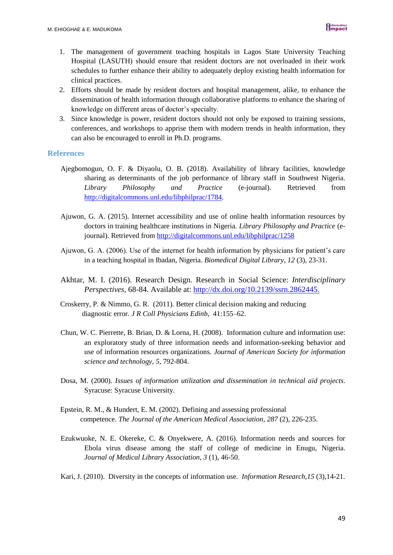- 1. The management of government teaching hospitals in Lagos State University Teaching Hospital (LASUTH) should ensure that resident doctors are not overloaded in their work schedules to further enhance their ability to adequately deploy existing health information for clinical practices.
- 2. Efforts should be made by resident doctors and hospital management, alike, to enhance the dissemination of health information through collaborative platforms to enhance the sharing of knowledge on different areas of doctor's specialty.
- 3. Since knowledge is power, resident doctors should not only be exposed to training sessions, conferences, and workshops to apprise them with modern trends in health information, they can also be encouraged to enroll in Ph.D. programs.

#### **References**

- Ajegbomogun, O. F. & Diyaolu, O. B. (2018). Availability of library facilities, knowledge sharing as determinants of the job performance of library staff in Southwest Nigeria. *Library Philosophy and Practice* (e-journal). Retrieved from [http://digitalcommons.unl.edu/libphilprac/1784.](http://digitalcommons.unl.edu/libphilprac/1784)
- Ajuwon, G. A. (2015). Internet accessibility and use of online health information resources by doctors in training healthcare institutions in Nigeria. *Library Philosophy and Practice* (ejournal). Retrieved from <http://digitalcommons.unl.edu/libphilprac/1258>
- Ajuwon, G. A. (2006). Use of the internet for health information by physicians for patient's care in a teaching hospital in Ibadan, Nigeria. *Biomedical Digital Library*, *12* (3), 23-31.
- Akhtar, M. I. (2016). Research Design. Research in Social Science: *Interdisciplinary Perspectives*, 68-84. Available at:<http://dx.doi.org/10.2139/ssrn.2862445.>
- Croskerry, P. & Nimmo, G. R. (2011). Better clinical decision making and reducing diagnostic error. *J R Coll Physicians Edinb,* 41:155–62.
- Chun, W. C. Pierrette, B. Brian, D. & Lorna, H. (2008). Information culture and information use: an exploratory study of three information needs and information-seeking behavior and use of information resources organizations. *Journal of American Society for information science and technology, 5,* 792-804.
- Dosa, M. (2000). *Issues of information utilization and dissemination in technical aid projects*. Syracuse: Syracuse University.
- Epstein, R. M., & Hundert, E. M. (2002). Defining and assessing professional competence. *The Journal of the American Medical Association*, *287* (2), 226-235.
- Ezukwuoke, N. E. Okereke, C. & Onyekwere, A. (2016). Information needs and sources for Ebola virus disease among the staff of college of medicine in Enugu, Nigeria. *Journal of Medical Library Association*, *3* (1), 46-50.
- Kari, J. (2010). Diversity in the concepts of information use. *Information Research,15* (3),14-21.